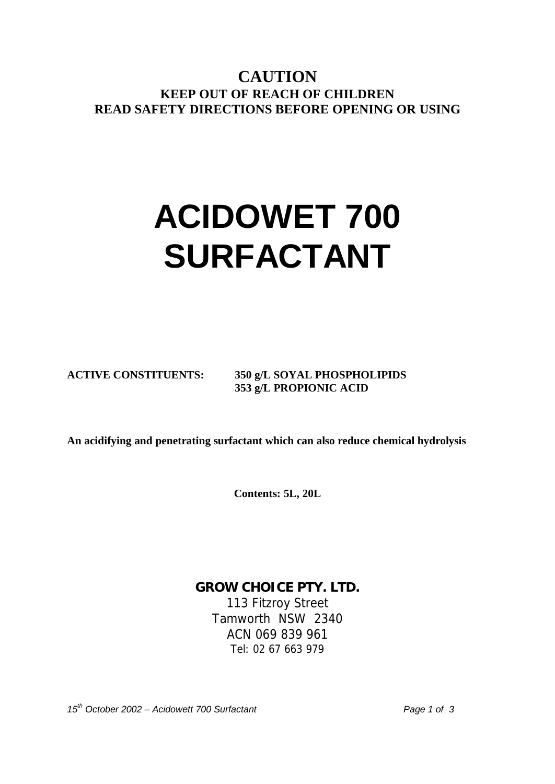**CAUTION KEEP OUT OF REACH OF CHILDREN READ SAFETY DIRECTIONS BEFORE OPENING OR USING**

# **ACIDOWET 700 SURFACTANT**

**ACTIVE CONSTITUENTS: 350 g/L SOYAL PHOSPHOLIPIDS 353 g/L PROPIONIC ACID** 

**An acidifying and penetrating surfactant which can also reduce chemical hydrolysis** 

**Contents: 5L, 20L** 

**GROW CHOICE PTY. LTD.**  113 Fitzroy Street Tamworth NSW 2340 ACN 069 839 961 Tel: 02 67 663 979

*15th October 2002 – Acidowett 700 Surfactant Page 1 of 3*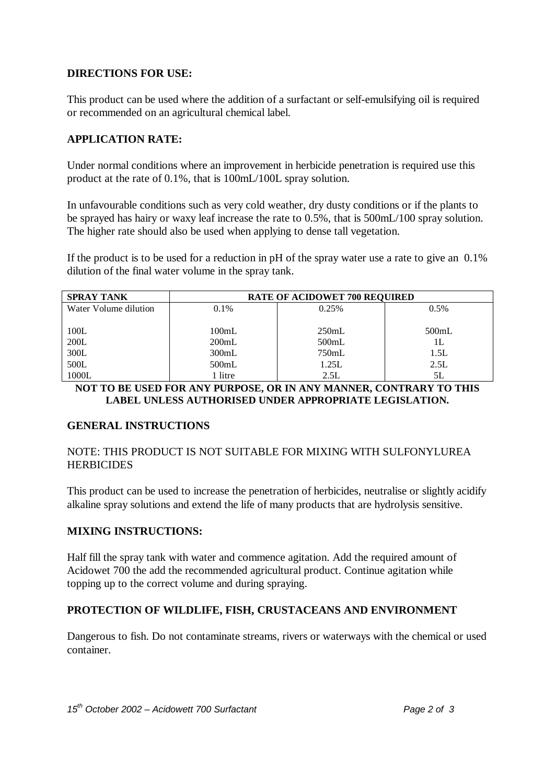#### **DIRECTIONS FOR USE:**

This product can be used where the addition of a surfactant or self-emulsifying oil is required or recommended on an agricultural chemical label.

#### **APPLICATION RATE:**

Under normal conditions where an improvement in herbicide penetration is required use this product at the rate of 0.1%, that is 100mL/100L spray solution.

In unfavourable conditions such as very cold weather, dry dusty conditions or if the plants to be sprayed has hairy or waxy leaf increase the rate to 0.5%, that is 500mL/100 spray solution. The higher rate should also be used when applying to dense tall vegetation.

If the product is to be used for a reduction in pH of the spray water use a rate to give an 0.1% dilution of the final water volume in the spray tank.

| <b>SPRAY TANK</b>     | <b>RATE OF ACIDOWET 700 REQUIRED</b> |       |         |
|-----------------------|--------------------------------------|-------|---------|
| Water Volume dilution | 0.1%                                 | 0.25% | $0.5\%$ |
|                       |                                      |       |         |
| 100L                  | 100mL                                | 250mL | 500mL   |
| 200L                  | 200mL                                | 500mL | 1L      |
| 300L                  | 300mL                                | 750mL | 1.5L    |
| 500L                  | 500mL                                | 1.25L | 2.5L    |
| 1000L                 | 1 litre                              | 2.5L  | 5L      |

**NOT TO BE USED FOR ANY PURPOSE, OR IN ANY MANNER, CONTRARY TO THIS LABEL UNLESS AUTHORISED UNDER APPROPRIATE LEGISLATION.** 

### **GENERAL INSTRUCTIONS**

NOTE: THIS PRODUCT IS NOT SUITABLE FOR MIXING WITH SULFONYLUREA **HERBICIDES** 

This product can be used to increase the penetration of herbicides, neutralise or slightly acidify alkaline spray solutions and extend the life of many products that are hydrolysis sensitive.

### **MIXING INSTRUCTIONS:**

Half fill the spray tank with water and commence agitation. Add the required amount of Acidowet 700 the add the recommended agricultural product. Continue agitation while topping up to the correct volume and during spraying.

### **PROTECTION OF WILDLIFE, FISH, CRUSTACEANS AND ENVIRONMENT**

Dangerous to fish. Do not contaminate streams, rivers or waterways with the chemical or used container.